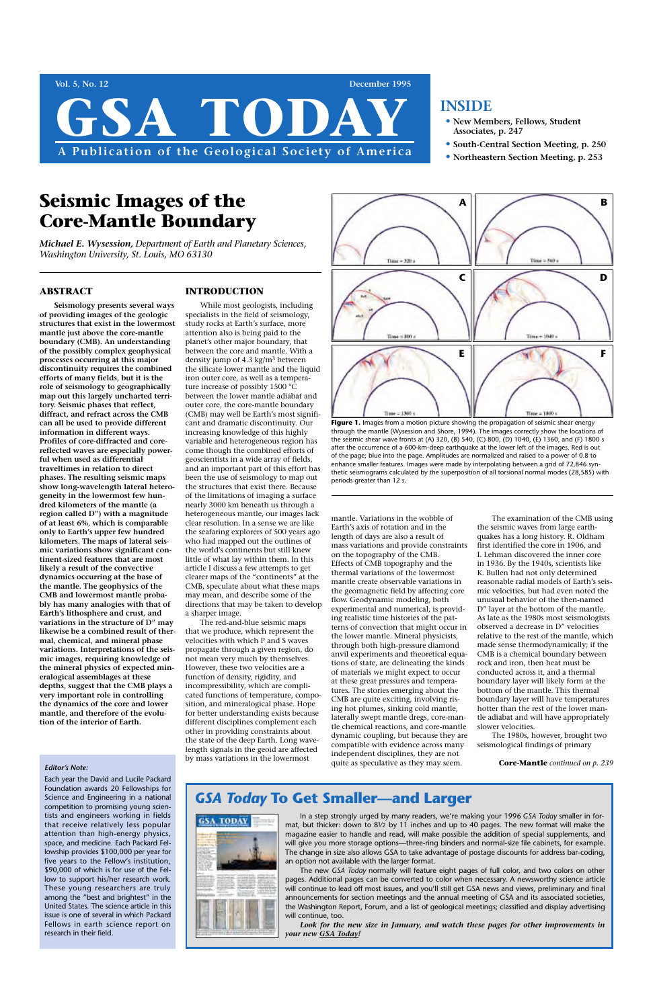**Vol. 5, No. 12 December 1995**

**A Publication of the Geological Society of America**

## **INSIDE**

- **• New Members, Fellows, Student Associates, p. 247**
- **• South-Central Section Meeting, p. 250**
- **• Northeastern Section Meeting, p. 253**

#### **ABSTRACT**

**Seismology presents several ways of providing images of the geologic structures that exist in the lowermost mantle just above the core-mantle boundary (CMB). An understanding of the possibly complex geophysical processes occurring at this major discontinuity requires the combined efforts of many fields, but it is the role of seismology to geographically map out this largely uncharted territory. Seismic phases that reflect, diffract, and refract across the CMB can all be used to provide different information in different ways. Profiles of core-diffracted and corereflected waves are especially powerful when used as differential traveltimes in relation to direct phases. The resulting seismic maps show long-wavelength lateral heterogeneity in the lowermost few hundred kilometers of the mantle (a region called D") with a magnitude of at least 6%, which is comparable only to Earth's upper few hundred kilometers. The maps of lateral seismic variations show significant continent-sized features that are most likely a result of the convective dynamics occurring at the base of the mantle. The geophysics of the CMB and lowermost mantle probably has many analogies with that of Earth's lithosphere and crust, and variations in the structure of D" may likewise be a combined result of thermal, chemical, and mineral phase variations. Interpretations of the seismic images, requiring knowledge of the mineral physics of expected mineralogical assemblages at these depths, suggest that the CMB plays a very important role in controlling the dynamics of the core and lower mantle, and therefore of the evolution of the interior of Earth.** 

## **INTRODUCTION**

GSA TODA

While most geologists, including specialists in the field of seismology, study rocks at Earth's surface, more attention also is being paid to the planet's other major boundary, that between the core and mantle. With a density jump of 4.3 kg/m3 between the silicate lower mantle and the liquid iron outer core, as well as a temperature increase of possibly 1500 °C between the lower mantle adiabat and outer core, the core-mantle boundary (CMB) may well be Earth's most significant and dramatic discontinuity. Our increasing knowledge of this highly variable and heterogeneous region has come though the combined efforts of geoscientists in a wide array of fields, and an important part of this effort has been the use of seismology to map out the structures that exist there. Because of the limitations of imaging a surface nearly 3000 km beneath us through a heterogeneous mantle, our images lack clear resolution. In a sense we are like the seafaring explorers of 500 years ago who had mapped out the outlines of the world's continents but still knew little of what lay within them. In this article I discuss a few attempts to get clearer maps of the "continents" at the CMB, speculate about what these maps may mean, and describe some of the directions that may be taken to develop a sharper image.

The red-and-blue seismic maps that we produce, which represent the velocities with which P and S waves propagate through a given region, do not mean very much by themselves. However, these two velocities are a function of density, rigidity, and incompressibility, which are complicated functions of temperature, composition, and mineralogical phase. Hope for better understanding exists because different disciplines complement each other in providing constraints about the state of the deep Earth. Long wavelength signals in the geoid are affected by mass variations in the lowermost

mantle. Variations in the wobble of Earth's axis of rotation and in the length of days are also a result of mass variations and provide constraints on the topography of the CMB. Effects of CMB topography and the thermal variations of the lowermost mantle create observable variations in the geomagnetic field by affecting core flow. Geodynamic modeling, both experimental and numerical, is providing realistic time histories of the patterns of convection that might occur in the lower mantle. Mineral physicists, through both high-pressure diamond anvil experiments and theoretical equations of state, are delineating the kinds of materials we might expect to occur at these great pressures and temperatures. The stories emerging about the CMB are quite exciting, involving rising hot plumes, sinking cold mantle, laterally swept mantle dregs, core-mantle chemical reactions, and core-mantle dynamic coupling, but because they are compatible with evidence across many independent disciplines, they are not quite as speculative as they may seem.

The examination of the CMB using the seismic waves from large earthquakes has a long history. R. Oldham first identified the core in 1906, and I. Lehman discovered the inner core in 1936. By the 1940s, scientists like K. Bullen had not only determined reasonable radial models of Earth's seismic velocities, but had even noted the unusual behavior of the then-named D" layer at the bottom of the mantle. As late as the 1980s most seismologists observed a decrease in D" velocities relative to the rest of the mantle, which made sense thermodynamically; if the CMB is a chemical boundary between rock and iron, then heat must be conducted across it, and a thermal boundary layer will likely form at the bottom of the mantle. This thermal boundary layer will have temperatures hotter than the rest of the lower mantle adiabat and will have appropriately slower velocities.

The 1980s, however, brought two

seismological findings of primary

# **Seismic Images of the Core-Mantle Boundary**

*Michael E. Wysession, Department of Earth and Planetary Sciences, Washington University, St. Louis, MO 63130*



Figure 1. Images from a motion picture showing the propagation of seismic shear energy through the mantle (Wysession and Shore, 1994). The images correctly show the locations of the seismic shear wave fronts at (A) 320, (B) 540, (C) 800, (D) 1040, (E) 1360, and (F) 1800 s after the occurrence of a 600-km-deep earthquake at the lower left of the images. Red is out of the page; blue into the page. Amplitudes are normalized and raised to a power of 0.8 to enhance smaller features. Images were made by interpolating between a grid of 72,846 synthetic seismograms calculated by the superposition of all torsional normal modes (28,585) with periods greater than 12 s.

#### *Editor's Note:*

Each year the David and Lucile Packard Foundation awards 20 Fellowships for Science and Engineering in a national competition to promising young scientists and engineers working in fields that receive relatively less popular attention than high-energy physics, space, and medicine. Each Packard Fellowship provides \$100,000 per year for five years to the Fellow's institution, \$90,000 of which is for use of the Fellow to support his/her research work. These young researchers are truly among the "best and brightest" in the United States. The science article in this issue is one of several in which Packard Fellows in earth science report on research in their field.

**Core-Mantle** *continued on p. 239*

## *GSA Today* **To Get Smaller—and Larger**



In a step strongly urged by many readers, we're making your 1996 *GSA Today* smaller in format, but thicker: down to  $8\frac{1}{2}$  by 11 inches and up to 40 pages. The new format will make the magazine easier to handle and read, will make possible the addition of special supplements, and will give you more storage options—three-ring binders and normal-size file cabinets, for example. The change in size also allows GSA to take advantage of postage discounts for address bar-coding, an option not available with the larger format.

The new *GSA Today* normally will feature eight pages of full color, and two colors on other pages. Additional pages can be converted to color when necessary. A newsworthy science article will continue to lead off most issues, and you'll still get GSA news and views, preliminary and final announcements for section meetings and the annual meeting of GSA and its associated societies, the Washington Report, Forum, and a list of geological meetings; classified and display advertising will continue, too.

*Look for the new size in January, and watch these pages for other improvements in your new GSA Today!*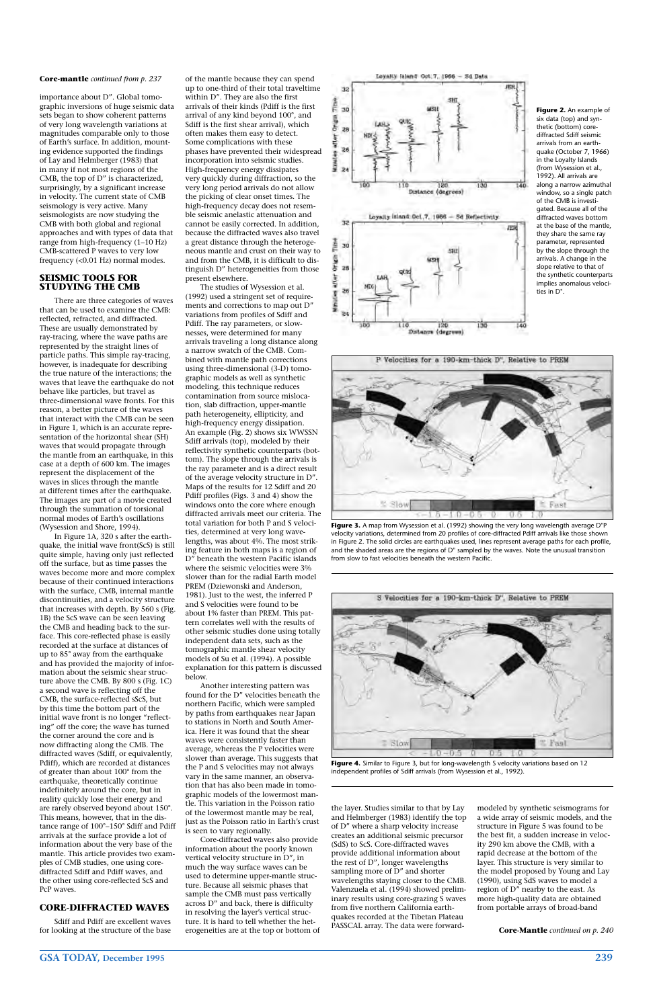## **GSA TODAY, December 1995 239**

importance about D". Global tomographic inversions of huge seismic data sets began to show coherent patterns of very long wavelength variations at magnitudes comparable only to those of Earth's surface. In addition, mounting evidence supported the findings of Lay and Helmberger (1983) that in many if not most regions of the CMB, the top of D" is characterized, surprisingly, by a significant increase in velocity. The current state of CMB seismology is very active. Many seismologists are now studying the CMB with both global and regional approaches and with types of data that range from high-frequency (1–10 Hz) CMB-scattered P waves to very low frequency (<0.01 Hz) normal modes.

#### **SEISMIC TOOLS FOR STUDYING THE CMB**

There are three categories of waves that can be used to examine the CMB: reflected, refracted, and diffracted. These are usually demonstrated by ray-tracing, where the wave paths are represented by the straight lines of particle paths. This simple ray-tracing, however, is inadequate for describing the true nature of the interactions; the waves that leave the earthquake do not behave like particles, but travel as three-dimensional wave fronts. For this reason, a better picture of the waves that interact with the CMB can be seen in Figure 1, which is an accurate representation of the horizontal shear (SH) waves that would propagate through the mantle from an earthquake, in this case at a depth of 600 km. The images represent the displacement of the waves in slices through the mantle at different times after the earthquake. The images are part of a movie created through the summation of torsional normal modes of Earth's oscillations (Wysession and Shore, 1994).

In Figure 1A, 320 s after the earthquake, the initial wave front(ScS) is still quite simple, having only just reflected off the surface, but as time passes the waves become more and more complex because of their continued interactions with the surface, CMB, internal mantle discontinuities, and a velocity structure that increases with depth. By 560 s (Fig. 1B) the ScS wave can be seen leaving the CMB and heading back to the surface. This core-reflected phase is easily recorded at the surface at distances of up to 85° away from the earthquake and has provided the majority of information about the seismic shear structure above the CMB. By 800 s (Fig. 1C) a second wave is reflecting off the CMB, the surface-reflected sScS, but by this time the bottom part of the initial wave front is no longer "reflecting" off the core; the wave has turned the corner around the core and is now diffracting along the CMB. The diffracted waves (Sdiff, or equivalently, Pdiff), which are recorded at distances of greater than about 100° from the earthquake, theoretically continue indefinitely around the core, but in reality quickly lose their energy and are rarely observed beyond about 150°. This means, however, that in the distance range of 100°–150° Sdiff and Pdiff arrivals at the surface provide a lot of information about the very base of the mantle. This article provides two examples of CMB studies, one using corediffracted Sdiff and Pdiff waves, and the other using core-reflected ScS and PcP waves.

## **CORE-DIFFRACTED WAVES**

Sdiff and Pdiff are excellent waves for looking at the structure of the base of the mantle because they can spend up to one-third of their total traveltime within D". They are also the first arrivals of their kinds (Pdiff is the first arrival of any kind beyond 100°, and Sdiff is the first shear arrival), which often makes them easy to detect. Some complications with these phases have prevented their widespread incorporation into seismic studies. High-frequency energy dissipates very quickly during diffraction, so the very long period arrivals do not allow the picking of clear onset times. The high-frequency decay does not resemble seismic anelastic attenuation and cannot be easily corrected. In addition, because the diffracted waves also travel a great distance through the heterogeneous mantle and crust on their way to and from the CMB, it is difficult to distinguish D" heterogeneities from those present elsewhere.

The studies of Wysession et al. (1992) used a stringent set of requirements and corrections to map out D" variations from profiles of Sdiff and Pdiff. The ray parameters, or slownesses, were determined for many arrivals traveling a long distance along a narrow swatch of the CMB. Combined with mantle path corrections using three-dimensional (3-D) tomographic models as well as synthetic modeling, this technique reduces contamination from source mislocation, slab diffraction, upper-mantle path heterogeneity, ellipticity, and high-frequency energy dissipation. An example (Fig. 2) shows six WWSSN Sdiff arrivals (top), modeled by their reflectivity synthetic counterparts (bottom). The slope through the arrivals is the ray parameter and is a direct result of the average velocity structure in D". Maps of the results for 12 Sdiff and 20 Pdiff profiles (Figs. 3 and 4) show the windows onto the core where enough diffracted arrivals meet our criteria. The total variation for both P and S velocities, determined at very long wavelengths, was about 4%. The most striking feature in both maps is a region of D" beneath the western Pacific islands where the seismic velocities were 3% slower than for the radial Earth model PREM (Dziewonski and Anderson, 1981). Just to the west, the inferred P and S velocities were found to be about 1% faster than PREM. This pattern correlates well with the results of other seismic studies done using totally independent data sets, such as the tomographic mantle shear velocity models of Su et al. (1994). A possible explanation for this pattern is discussed below.

Another interesting pattern was found for the D" velocities beneath the northern Pacific, which were sampled by paths from earthquakes near Japan to stations in North and South America. Here it was found that the shear waves were consistently faster than average, whereas the P velocities were slower than average. This suggests that the P and S velocities may not always vary in the same manner, an observation that has also been made in tomographic models of the lowermost mantle. This variation in the Poisson ratio of the lowermost mantle may be real, just as the Poisson ratio in Earth's crust is seen to vary regionally. Core-diffracted waves also provide information about the poorly known vertical velocity structure in D", in much the way surface waves can be used to determine upper-mantle structure. Because all seismic phases that sample the CMB must pass vertically across D" and back, there is difficulty in resolving the layer's vertical structure. It is hard to tell whether the heterogeneities are at the top or bottom of



120 Distance (degrees)

ä **Mitrical** 

the layer. Studies similar to that by Lay and Helmberger (1983) identify the top of D" where a sharp velocity increase creates an additional seismic precursor (SdS) to ScS. Core-diffracted waves provide additional information about the rest of D", longer wavelengths sampling more of D" and shorter wavelengths staying closer to the CMB. Valenzuela et al. (1994) showed preliminary results using core-grazing S waves from five northern California earthquakes recorded at the Tibetan Plateau PASSCAL array. The data were forward-

modeled by synthetic seismograms for a wide array of seismic models, and the structure in Figure 5 was found to be the best fit, a sudden increase in velocity 290 km above the CMB, with a rapid decrease at the bottom of the layer. This structure is very similar to the model proposed by Young and Lay (1990), using SdS waves to model a region of D" nearby to the east. As more high-quality data are obtained from portable arrays of broad-band

**Figure 2.** An example of six data (top) and synthetic (bottom) corediffracted Sdiff seismic arrivals from an earthquake (October 7, 1966) in the Loyalty Islands (from Wysession et al., 1992). All arrivals are along a narrow azimuthal window, so a single patch of the CMB is investigated. Because all of the diffracted waves bottom at the base of the mantle, they share the same ray parameter, represented by the slope through the arrivals. A change in the slope relative to that of the synthetic counterparts implies anomalous velocities in D".



**Figure 3.** A map from Wysession et al. (1992) showing the very long wavelength average D"P velocity variations, determined from 20 profiles of core-diffracted Pdiff arrivals like those shown in Figure 2. The solid circles are earthquakes used, lines represent average paths for each profile, and the shaded areas are the regions of D" sampled by the waves. Note the unusual transition from slow to fast velocities beneath the western Pacific.



**Figure 4.** Similar to Figure 3, but for long-wavelength S velocity variations based on 12 independent profiles of Sdiff arrivals (from Wysession et al., 1992).

#### **Core-mantle** *continued from p. 237*

**Core-Mantle** *continued on p. 240*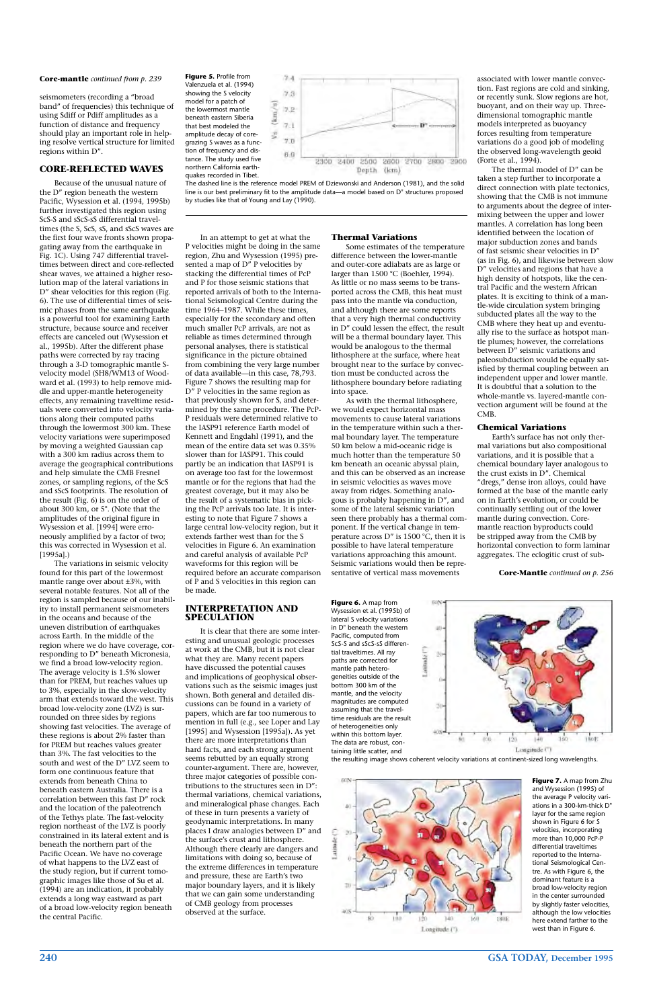## **240 GSA TODAY, December 1995**

Because of the unusual nature of the D" region beneath the western Pacific, Wysession et al. (1994, 1995b) further investigated this region using ScS-S and sScS-sS differential traveltimes (the S, ScS, sS, and sScS waves are the first four wave fronts shown propagating away from the earthquake in Fig. 1C). Using 747 differential traveltimes between direct and core-reflected shear waves, we attained a higher resolution map of the lateral variations in D" shear velocities for this region (Fig. 6). The use of differential times of seismic phases from the same earthquake is a powerful tool for examining Earth structure, because source and receiver effects are canceled out (Wysession et al., 1995b). After the different phase paths were corrected by ray tracing through a 3-D tomographic mantle Svelocity model (SH8/WM13 of Woodward et al. (1993) to help remove middle and upper-mantle heterogeneity effects, any remaining traveltime residuals were converted into velocity variations along their computed paths through the lowermost 300 km. These velocity variations were superimposed by moving a weighted Gaussian cap with a 300 km radius across them to average the geographical contributions and help simulate the CMB Fresnel zones, or sampling regions, of the ScS and sScS footprints. The resolution of the result (Fig. 6) is on the order of about 300 km, or 5°. (Note that the amplitudes of the original figure in Wysession et al. [1994] were erroneously amplified by a factor of two; this was corrected in Wysession et al. [1995a].)

seismometers (recording a "broad band" of frequencies) this technique of using Sdiff or Pdiff amplitudes as a function of distance and frequency should play an important role in helping resolve vertical structure for limited regions within D".

## **CORE-REFLECTED WAVES**

The variations in seismic velocity found for this part of the lowermost mantle range over about ±3%, with several notable features. Not all of the region is sampled because of our inability to install permanent seismometers in the oceans and because of the uneven distribution of earthquakes across Earth. In the middle of the region where we do have coverage, corresponding to D" beneath Micronesia, we find a broad low-velocity region. The average velocity is 1.5% slower than for PREM, but reaches values up to 3%, especially in the slow-velocity arm that extends toward the west. This broad low-velocity zone (LVZ) is surrounded on three sides by regions showing fast velocities. The average of these regions is about 2% faster than for PREM but reaches values greater than 3%. The fast velocities to the south and west of the D" LVZ seem to form one continuous feature that extends from beneath China to beneath eastern Australia. There is a correlation between this fast D" rock and the location of the paleotrench of the Tethys plate. The fast-velocity region northeast of the LVZ is poorly constrained in its lateral extent and is beneath the northern part of the Pacific Ocean. We have no coverage of what happens to the LVZ east of the study region, but if current tomographic images like those of Su et al. (1994) are an indication, it probably extends a long way eastward as part of a broad low-velocity region beneath the central Pacific.

In an attempt to get at what the P velocities might be doing in the same region, Zhu and Wysession (1995) presented a map of D" P velocities by stacking the differential times of PcP and P for those seismic stations that reported arrivals of both to the International Seismological Centre during the time 1964–1987. While these times, especially for the secondary and often much smaller PcP arrivals, are not as reliable as times determined through personal analyses, there is statistical significance in the picture obtained from combining the very large number of data available—in this case, 78,793. Figure 7 shows the resulting map for D" P velocities in the same region as that previously shown for S, and determined by the same procedure. The PcP-P residuals were determined relative to the IASP91 reference Earth model of Kennett and Engdahl (1991), and the mean of the entire data set was 0.35% slower than for IASP91. This could partly be an indication that IASP91 is on average too fast for the lowermost mantle or for the regions that had the greatest coverage, but it may also be the result of a systematic bias in picking the PcP arrivals too late. It is interesting to note that Figure 7 shows a large central low-velocity region, but it extends farther west than for the S velocities in Figure 6. An examination and careful analysis of available PcP waveforms for this region will be required before an accurate comparison of P and S velocities in this region can be made.

#### **INTERPRETATION AND SPECULATION**

It is clear that there are some interesting and unusual geologic processes at work at the CMB, but it is not clear what they are. Many recent papers have discussed the potential causes and implications of geophysical observations such as the seismic images just shown. Both general and detailed discussions can be found in a variety of papers, which are far too numerous to mention in full (e.g., see Loper and Lay [1995] and Wysession [1995a]). As yet there are more interpretations than hard facts, and each strong argument seems rebutted by an equally strong counter-argument. There are, however, three major categories of possible contributions to the structures seen in D": thermal variations, chemical variations, and mineralogical phase changes. Each of these in turn presents a variety of geodynamic interpretations. In many places I draw analogies between D" and the surface's crust and lithosphere. Although there clearly are dangers and limitations with doing so, because of the extreme differences in temperature and pressure, these are Earth's two major boundary layers, and it is likely that we can gain some understanding of CMB geology from processes observed at the surface.

#### **Thermal Variations**

Some estimates of the temperature difference between the lower-mantle and outer-core adiabats are as large or larger than 1500 °C (Boehler, 1994). As little or no mass seems to be transported across the CMB, this heat must pass into the mantle via conduction, and although there are some reports that a very high thermal conductivity in D" could lessen the effect, the result will be a thermal boundary layer. This would be analogous to the thermal lithosphere at the surface, where heat brought near to the surface by convection must be conducted across the lithosphere boundary before radiating into space.

As with the thermal lithosphere, we would expect horizontal mass movements to cause lateral variations in the temperature within such a thermal boundary layer. The temperature 50 km below a mid-oceanic ridge is much hotter than the temperature 50 km beneath an oceanic abyssal plain, and this can be observed as an increase in seismic velocities as waves move away from ridges. Something analogous is probably happening in D", and some of the lateral seismic variation seen there probably has a thermal component. If the vertical change in temperature across D" is 1500 °C, then it is possible to have lateral temperature variations approaching this amount. Seismic variations would then be representative of vertical mass movements

associated with lower mantle convection. Fast regions are cold and sinking, or recently sunk. Slow regions are hot, buoyant, and on their way up. Threedimensional tomographic mantle models interpreted as buoyancy forces resulting from temperature variations do a good job of modeling the observed long-wavelength geoid (Forte et al., 1994).

The thermal model of D" can be taken a step further to incorporate a direct connection with plate tectonics, showing that the CMB is not immune to arguments about the degree of intermixing between the upper and lower mantles. A correlation has long been identified between the location of major subduction zones and bands of fast seismic shear velocities in D" (as in Fig. 6), and likewise between slow D" velocities and regions that have a high density of hotspots, like the central Pacific and the western African plates. It is exciting to think of a mantle-wide circulation system bringing subducted plates all the way to the CMB where they heat up and eventually rise to the surface as hotspot mantle plumes; however, the correlations between D" seismic variations and paleosubduction would be equally satisfied by thermal coupling between an independent upper and lower mantle. It is doubtful that a solution to the whole-mantle vs. layered-mantle convection argument will be found at the CMB.

#### **Chemical Variations**

Earth's surface has not only thermal variations but also compositional variations, and it is possible that a chemical boundary layer analogous to the crust exists in D". Chemical "dregs," dense iron alloys, could have formed at the base of the mantle early on in Earth's evolution, or could be continually settling out of the lower mantle during convection. Coremantle reaction byproducts could be stripped away from the CMB by horizontal convection to form laminar aggregates. The eclogitic crust of sub-

## **Core-mantle** *continued from p. 239* **Figure 5.** Profile from

Valenzuela et al. (1994) showing the S velocity model for a patch of the lowermost mantle beneath eastern Siberia that best modeled the amplitude decay of coregrazing S waves as a function of frequency and distance. The study used five northern California earthquakes recorded in Tibet.



The dashed line is the reference model PREM of Dziewonski and Anderson (1981), and the solid line is our best preliminary fit to the amplitude data—a model based on D" structures proposed by studies like that of Young and Lay (1990).

> **Figure 6.** A map from Wysession et al. (1995b) of lateral S velocity variations in D" beneath the western 40 Pacific, computed from ScS-S and sScS-sS differen-Latitude<sup>["</sup> tial traveltimes. All ray ğ, paths are corrected for mantle path heterogeneities outside of the bottom 300 km of the mantle, and the velocity magnitudes are computed assuming that the traveltime residuals are the result of heterogeneities only  $408$ within this bottom layer. The data are robust, con-Longitude<sup>(\*)</sup> taining little scatter, and the resulting image shows coherent velocity variations at continent-sized long wavelengths.





**Figure 7.** A map from Zhu and Wysession (1995) of the average P velocity variations in a 300-km-thick D" layer for the same region shown in Figure 6 for S velocities, incorporating more than 10,000 PcP-P differential traveltimes reported to the International Seismological Centre. As with Figure 6, the dominant feature is a broad low-velocity region in the center surrounded by slightly faster velocities, although the low velocities here extend farther to the west than in Figure 6.

**Core-Mantle** *continued on p. 256*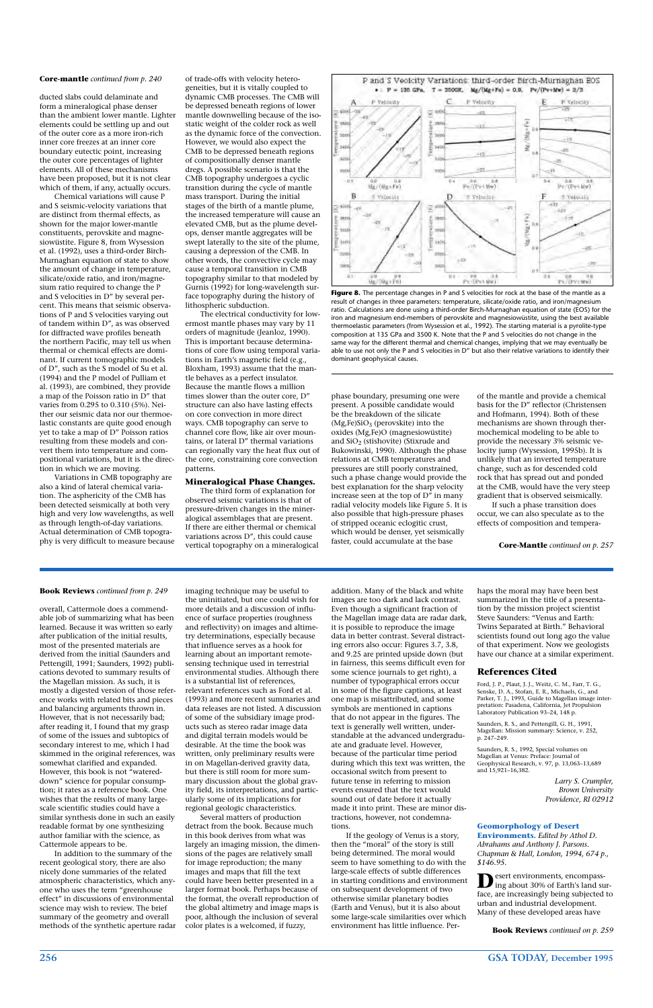## **256 GSA TODAY, December 1995**

ducted slabs could delaminate and form a mineralogical phase denser than the ambient lower mantle. Lighter elements could be settling up and out of the outer core as a more iron-rich inner core freezes at an inner core boundary eutectic point, increasing the outer core percentages of lighter elements. All of these mechanisms have been proposed, but it is not clear which of them, if any, actually occurs.

Chemical variations will cause P and S seismic-velocity variations that are distinct from thermal effects, as shown for the major lower-mantle constituents, perovskite and magnesiowüstite. Figure 8, from Wysession et al. (1992), uses a third-order Birch-Murnaghan equation of state to show the amount of change in temperature, silicate/oxide ratio, and iron/magnesium ratio required to change the P and S velocities in D" by several percent. This means that seismic observations of P and S velocities varying out of tandem within D", as was observed for diffracted wave profiles beneath the northern Pacific, may tell us when thermal or chemical effects are dominant. If current tomographic models of D", such as the S model of Su et al. (1994) and the P model of Pulliam et al. (1993), are combined, they provide a map of the Poisson ratio in D" that varies from 0.295 to 0.310 (5%). Neither our seismic data nor our thermoelastic constants are quite good enough yet to take a map of D" Poisson ratios resulting from these models and convert them into temperature and compositional variations, but it is the direction in which we are moving.

Variations in CMB topography are also a kind of lateral chemical variation. The asphericity of the CMB has been detected seismically at both very high and very low wavelengths, as well as through length-of-day variations. Actual determination of CMB topography is very difficult to measure because of trade-offs with velocity heterogeneities, but it is vitally coupled to dynamic CMB processes. The CMB will be depressed beneath regions of lower mantle downwelling because of the isostatic weight of the colder rock as well as the dynamic force of the convection. However, we would also expect the CMB to be depressed beneath regions of compositionally denser mantle dregs. A possible scenario is that the CMB topography undergoes a cyclic transition during the cycle of mantle mass transport. During the initial stages of the birth of a mantle plume, the increased temperature will cause an elevated CMB, but as the plume develops, denser mantle aggregates will be swept laterally to the site of the plume, causing a depression of the CMB. In other words, the convective cycle may cause a temporal transition in CMB topography similar to that modeled by Gurnis (1992) for long-wavelength surface topography during the history of lithospheric subduction.



Figure 8. The percentage changes in P and S velocities for rock at the base of the mantle as a result of changes in three parameters: temperature, silicate/oxide ratio, and iron/magnesium ratio. Calculations are done using a third-order Birch-Murnaghan equation of state (EOS) for the iron and magnesium end-members of perovskite and magnesiowüstite, using the best available thermoelastic parameters (from Wysession et al., 1992). The starting material is a pyrolite-type composition at 135 GPa and 3500 K. Note that the P and S velocities do not change in the same way for the different thermal and chemical changes, implying that we may eventually be able to use not only the P and S velocities in D" but also their relative variations to identify their dominant geophysical causes.

The electrical conductivity for lowermost mantle phases may vary by 11 orders of magnitude (Jeanloz, 1990). This is important because determinations of core flow using temporal variations in Earth's magnetic field (e.g., Bloxham, 1993) assume that the mantle behaves as a perfect insulator. Because the mantle flows a million times slower than the outer core, D" structure can also have lasting effects on core convection in more direct ways. CMB topography can serve to channel core flow, like air over mountains, or lateral D" thermal variations can regionally vary the heat flux out of the core, constraining core convection patterns.

#### **Mineralogical Phase Changes.**

The third form of explanation for observed seismic variations is that of pressure-driven changes in the mineralogical assemblages that are present. If there are either thermal or chemical variations across D", this could cause vertical topography on a mineralogical phase boundary, presuming one were present. A possible candidate would be the breakdown of the silicate  $(Mg,Fe)SiO<sub>3</sub>$  (perovskite) into the oxides (Mg,Fe)O (magnesiowüstite) and  $SiO<sub>2</sub>$  (stishovite) (Stixrude and Bukowinski, 1990). Although the phase relations at CMB temperatures and pressures are still poorly constrained, such a phase change would provide the best explanation for the sharp velocity increase seen at the top of D" in many radial velocity models like Figure 5. It is also possible that high-pressure phases of stripped oceanic eclogitic crust, which would be denser, yet seismically faster, could accumulate at the base

of the mantle and provide a chemical basis for the D" reflector (Christensen and Hofmann, 1994). Both of these mechanisms are shown through thermochemical modeling to be able to provide the necessary 3% seismic velocity jump (Wysession, 1995b). It is unlikely that an inverted temperature change, such as for descended cold rock that has spread out and ponded at the CMB, would have the very steep gradient that is observed seismically.

If such a phase transition does occur, we can also speculate as to the effects of composition and tempera-

#### **Core-mantle** *continued from p. 240*

**Core-Mantle** *continued on p. 257*

**D**esert environments, encompass-<br>ing about 30% of Earth's land surface, are increasingly being subjected to urban and industrial development. Many of these developed areas have

overall, Cattermole does a commendable job of summarizing what has been learned. Because it was written so early after publication of the initial results, most of the presented materials are derived from the initial (Saunders and Pettengill, 1991; Saunders, 1992) publications devoted to summary results of the Magellan mission. As such, it is mostly a digested version of those reference works with related bits and pieces and balancing arguments thrown in. However, that is not necessarily bad; after reading it, I found that my grasp of some of the issues and subtopics of secondary interest to me, which I had skimmed in the original references, was somewhat clarified and expanded. However, this book is not "watereddown" science for popular consumption; it rates as a reference book. One wishes that the results of many largescale scientific studies could have a similar synthesis done in such an easily readable format by one synthesizing author familiar with the science, as Cattermole appears to be. In addition to the summary of the recent geological story, there are also nicely done summaries of the related atmospheric characteristics, which anyone who uses the term "greenhouse effect" in discussions of environmental science may wish to review. The brief summary of the geometry and overall methods of the synthetic aperture radar

imaging technique may be useful to the uninitiated, but one could wish for more details and a discussion of influence of surface properties (roughness and reflectivity) on images and altimetry determinations, especially because that influence serves as a hook for learning about an important remotesensing technique used in terrestrial environmental studies. Although there is a substantial list of references, relevant references such as Ford et al. (1993) and more recent summaries and data releases are not listed. A discussion of some of the subsidiary image products such as stereo radar image data and digital terrain models would be desirable. At the time the book was written, only preliminary results were in on Magellan-derived gravity data, but there is still room for more summary discussion about the global gravity field, its interpretations, and particularly some of its implications for regional geologic characteristics. Several matters of production detract from the book. Because much in this book derives from what was largely an imaging mission, the dimensions of the pages are relatively small for image reproduction; the many images and maps that fill the text could have been better presented in a larger format book. Perhaps because of the format, the overall reproduction of the global altimetry and image maps is poor, although the inclusion of several color plates is a welcomed, if fuzzy,

addition. Many of the black and white images are too dark and lack contrast. Even though a significant fraction of the Magellan image data are radar dark, it is possible to reproduce the image data in better contrast. Several distracting errors also occur: Figures 3.7, 3.8, and 9.25 are printed upside down (but in fairness, this seems difficult even for some science journals to get right), a number of typographical errors occur in some of the figure captions, at least one map is misattributed, and some symbols are mentioned in captions that do not appear in the figures. The text is generally well written, understandable at the advanced undergraduate and graduate level. However, because of the particular time period during which this text was written, the occasional switch from present to future tense in referring to mission events ensured that the text would sound out of date before it actually made it into print. These are minor distractions, however, not condemnations. If the geology of Venus is a story, then the "moral" of the story is still being determined. The moral would seem to have something to do with the large-scale effects of subtle differences in starting conditions and environment on subsequent development of two otherwise similar planetary bodies (Earth and Venus), but it is also about some large-scale similarities over which environment has little influence. Perhaps the moral may have been best summarized in the title of a presentation by the mission project scientist Steve Saunders: "Venus and Earth: Twins Separated at Birth." Behavioral scientists found out long ago the value of that experiment. Now we geologists have our chance at a similar experiment.

#### **References Cited**

Ford, J. P., Plaut, J. J., Weitz, C. M., Farr, T. G., Senske, D. A., Stofan, E. R., Michaels, G., and Parker, T. J., 1993, Guide to Magellan image interpretation: Pasadena, California, Jet Propulsion Laboratory Publication 93–24, 148 p.

Saunders, R. S., and Pettengill, G. H., 1991, Magellan: Mission summary: Science, v. 252, p. 247–249.

Saunders, R. S., 1992, Special volumes on Magellan at Venus: Preface: Journal of Geophysical Research, v. 97, p. 13,063–13,689 and 15,921–16,382.

> *Larry S. Crumpler, Brown University Providence, RI 02912*

**Geomorphology of Desert Environments.** *Edited by Athol D. Abrahams and Anthony J. Parsons. Chapman & Hall, London, 1994, 674 p., \$146.95.*

#### **Book Reviews** *continued from p. 249*

**Book Reviews** *continued on p. 259*